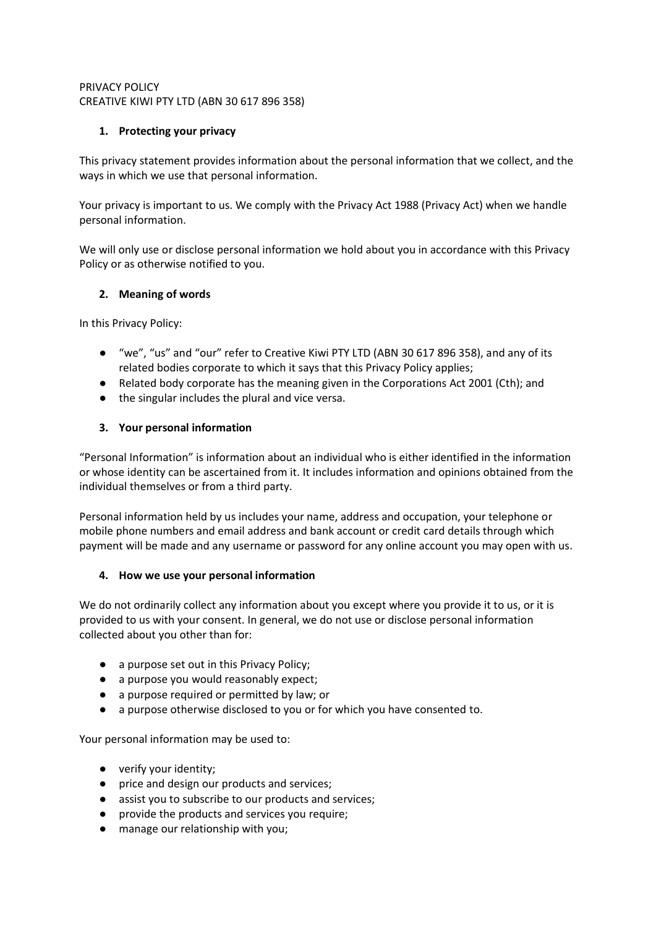# PRIVACY POLICY CREATIVE KIWI PTY LTD (ABN 30 617 896 358)

# **1. Protecting your privacy**

This privacy statement provides information about the personal information that we collect, and the ways in which we use that personal information.

Your privacy is important to us. We comply with the Privacy Act 1988 (Privacy Act) when we handle personal information.

We will only use or disclose personal information we hold about you in accordance with this Privacy Policy or as otherwise notified to you.

# **2. Meaning of words**

In this Privacy Policy:

- "we", "us" and "our" refer to Creative Kiwi PTY LTD (ABN 30 617 896 358), and any of its related bodies corporate to which it says that this Privacy Policy applies;
- Related body corporate has the meaning given in the Corporations Act 2001 (Cth); and
- the singular includes the plural and vice versa.

# **3. Your personal information**

"Personal Information" is information about an individual who is either identified in the information or whose identity can be ascertained from it. It includes information and opinions obtained from the individual themselves or from a third party.

Personal information held by us includes your name, address and occupation, your telephone or mobile phone numbers and email address and bank account or credit card details through which payment will be made and any username or password for any online account you may open with us.

## **4. How we use your personal information**

We do not ordinarily collect any information about you except where you provide it to us, or it is provided to us with your consent. In general, we do not use or disclose personal information collected about you other than for:

- a purpose set out in this Privacy Policy;
- a purpose you would reasonably expect;
- a purpose required or permitted by law; or
- a purpose otherwise disclosed to you or for which you have consented to.

Your personal information may be used to:

- verify your identity;
- price and design our products and services;
- assist you to subscribe to our products and services;
- provide the products and services you require;
- manage our relationship with you;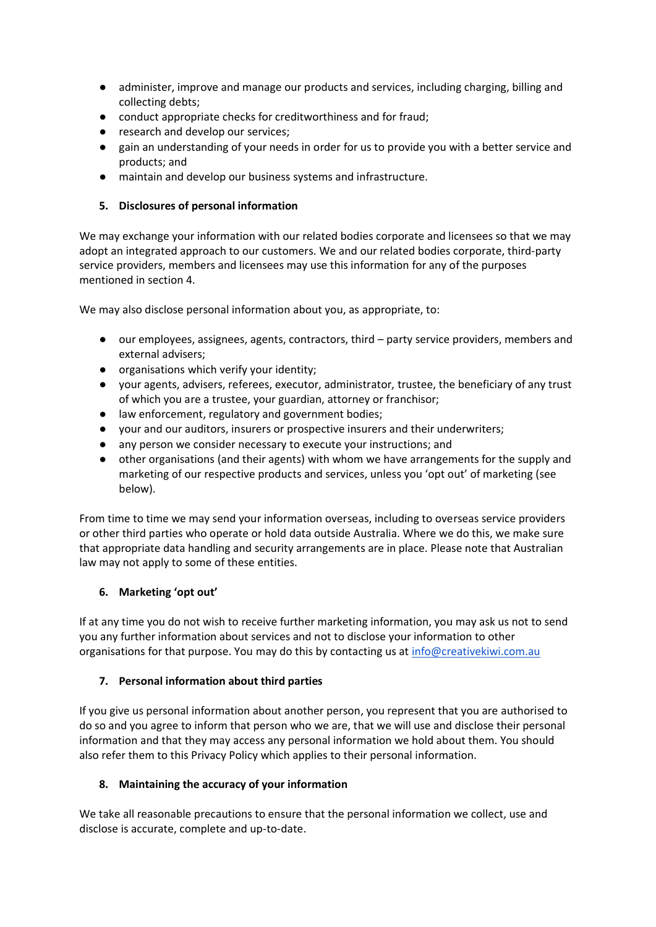- administer, improve and manage our products and services, including charging, billing and collecting debts;
- conduct appropriate checks for creditworthiness and for fraud;
- research and develop our services:
- gain an understanding of your needs in order for us to provide you with a better service and products; and
- maintain and develop our business systems and infrastructure.

## **5. Disclosures of personal information**

We may exchange your information with our related bodies corporate and licensees so that we may adopt an integrated approach to our customers. We and our related bodies corporate, third-party service providers, members and licensees may use this information for any of the purposes mentioned in section 4.

We may also disclose personal information about you, as appropriate, to:

- our employees, assignees, agents, contractors, third party service providers, members and external advisers;
- organisations which verify your identity;
- your agents, advisers, referees, executor, administrator, trustee, the beneficiary of any trust of which you are a trustee, your guardian, attorney or franchisor;
- law enforcement, regulatory and government bodies;
- your and our auditors, insurers or prospective insurers and their underwriters;
- any person we consider necessary to execute your instructions; and
- other organisations (and their agents) with whom we have arrangements for the supply and marketing of our respective products and services, unless you 'opt out' of marketing (see below).

From time to time we may send your information overseas, including to overseas service providers or other third parties who operate or hold data outside Australia. Where we do this, we make sure that appropriate data handling and security arrangements are in place. Please note that Australian law may not apply to some of these entities.

## **6. Marketing 'opt out'**

If at any time you do not wish to receive further marketing information, you may ask us not to send you any further information about services and not to disclose your information to other organisations for that purpose. You may do this by contacting us a[t info@creativekiwi.com.au](mailto:info@creativekiwi.com.au)

## **7. Personal information about third parties**

If you give us personal information about another person, you represent that you are authorised to do so and you agree to inform that person who we are, that we will use and disclose their personal information and that they may access any personal information we hold about them. You should also refer them to this Privacy Policy which applies to their personal information.

## **8. Maintaining the accuracy of your information**

We take all reasonable precautions to ensure that the personal information we collect, use and disclose is accurate, complete and up-to-date.